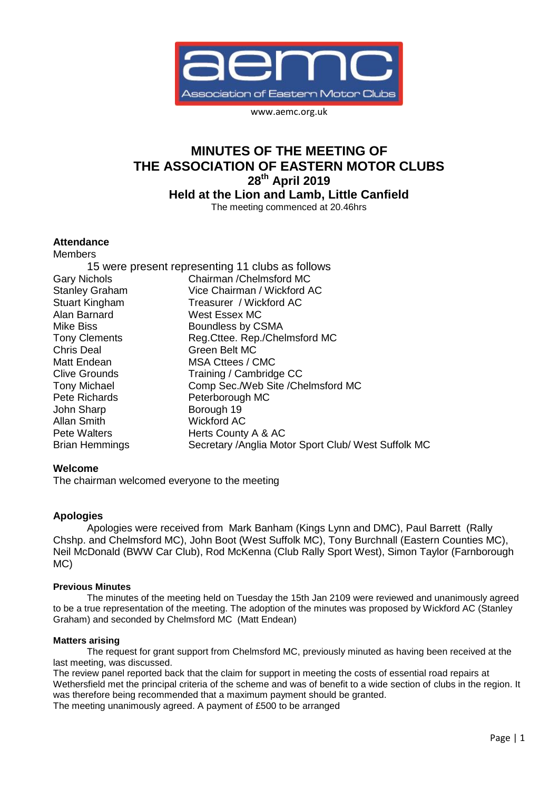

www.aemc.org.uk

# **MINUTES OF THE MEETING OF THE ASSOCIATION OF EASTERN MOTOR CLUBS 28th April 2019 Held at the Lion and Lamb, Little Canfield**

The meeting commenced at 20.46hrs

# **Attendance**

| <b>Members</b>        |                                                      |
|-----------------------|------------------------------------------------------|
|                       | 15 were present representing 11 clubs as follows     |
| <b>Gary Nichols</b>   | Chairman / Chelmsford MC                             |
| <b>Stanley Graham</b> | Vice Chairman / Wickford AC                          |
| <b>Stuart Kingham</b> | Treasurer / Wickford AC                              |
| Alan Barnard          | West Essex MC                                        |
| Mike Biss             | Boundless by CSMA                                    |
| <b>Tony Clements</b>  | Reg.Cttee. Rep./Chelmsford MC                        |
| <b>Chris Deal</b>     | Green Belt MC                                        |
| Matt Endean           | MSA Cttees / CMC                                     |
| <b>Clive Grounds</b>  | Training / Cambridge CC                              |
| <b>Tony Michael</b>   | Comp Sec./Web Site /Chelmsford MC                    |
| <b>Pete Richards</b>  | Peterborough MC                                      |
| John Sharp            | Borough 19                                           |
| <b>Allan Smith</b>    | <b>Wickford AC</b>                                   |
| <b>Pete Walters</b>   | Herts County A & AC                                  |
| <b>Brian Hemmings</b> | Secretary / Anglia Motor Sport Club/ West Suffolk MC |

# **Welcome**

The chairman welcomed everyone to the meeting

# **Apologies**

Apologies were received from Mark Banham (Kings Lynn and DMC), Paul Barrett (Rally Chshp. and Chelmsford MC), John Boot (West Suffolk MC), Tony Burchnall (Eastern Counties MC), Neil McDonald (BWW Car Club), Rod McKenna (Club Rally Sport West), Simon Taylor (Farnborough MC)

# **Previous Minutes**

The minutes of the meeting held on Tuesday the 15th Jan 2109 were reviewed and unanimously agreed to be a true representation of the meeting. The adoption of the minutes was proposed by Wickford AC (Stanley Graham) and seconded by Chelmsford MC (Matt Endean)

#### **Matters arising**

The request for grant support from Chelmsford MC, previously minuted as having been received at the last meeting, was discussed.

The review panel reported back that the claim for support in meeting the costs of essential road repairs at Wethersfield met the principal criteria of the scheme and was of benefit to a wide section of clubs in the region. It was therefore being recommended that a maximum payment should be granted.

The meeting unanimously agreed. A payment of £500 to be arranged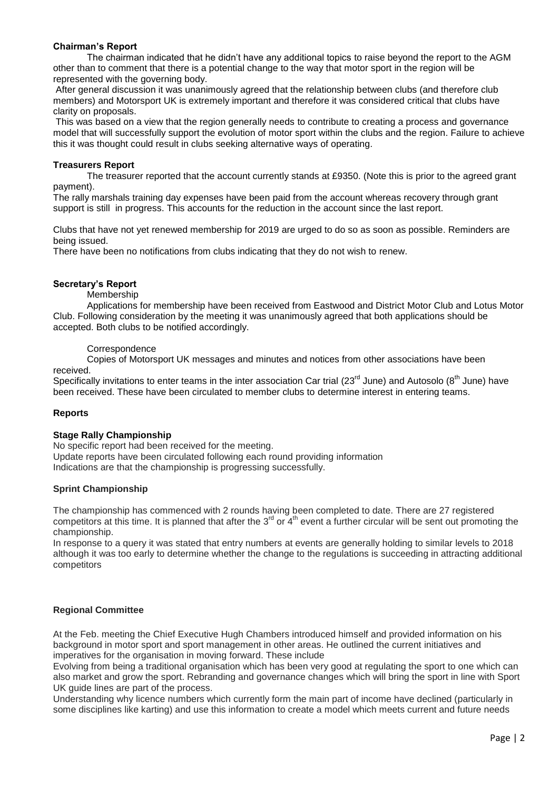# **Chairman's Report**

The chairman indicated that he didn't have any additional topics to raise beyond the report to the AGM other than to comment that there is a potential change to the way that motor sport in the region will be represented with the governing body.

After general discussion it was unanimously agreed that the relationship between clubs (and therefore club members) and Motorsport UK is extremely important and therefore it was considered critical that clubs have clarity on proposals.

This was based on a view that the region generally needs to contribute to creating a process and governance model that will successfully support the evolution of motor sport within the clubs and the region. Failure to achieve this it was thought could result in clubs seeking alternative ways of operating.

## **Treasurers Report**

The treasurer reported that the account currently stands at £9350. (Note this is prior to the agreed grant payment).

The rally marshals training day expenses have been paid from the account whereas recovery through grant support is still in progress. This accounts for the reduction in the account since the last report.

Clubs that have not yet renewed membership for 2019 are urged to do so as soon as possible. Reminders are being issued.

There have been no notifications from clubs indicating that they do not wish to renew.

# **Secretary's Report**

## Membership

Applications for membership have been received from Eastwood and District Motor Club and Lotus Motor Club. Following consideration by the meeting it was unanimously agreed that both applications should be accepted. Both clubs to be notified accordingly.

## **Correspondence**

Copies of Motorsport UK messages and minutes and notices from other associations have been received.

Specifically invitations to enter teams in the inter association Car trial (23 $^{rd}$  June) and Autosolo (8<sup>th</sup> June) have been received. These have been circulated to member clubs to determine interest in entering teams.

# **Reports**

# **Stage Rally Championship**

No specific report had been received for the meeting. Update reports have been circulated following each round providing information Indications are that the championship is progressing successfully.

#### **Sprint Championship**

The championship has commenced with 2 rounds having been completed to date. There are 27 registered competitors at this time. It is planned that after the  $3^{rd}$  or  $4^{th}$  event a further circular will be sent out promoting the championship.

In response to a query it was stated that entry numbers at events are generally holding to similar levels to 2018 although it was too early to determine whether the change to the regulations is succeeding in attracting additional competitors

# **Regional Committee**

At the Feb. meeting the Chief Executive Hugh Chambers introduced himself and provided information on his background in motor sport and sport management in other areas. He outlined the current initiatives and imperatives for the organisation in moving forward. These include

Evolving from being a traditional organisation which has been very good at regulating the sport to one which can also market and grow the sport. Rebranding and governance changes which will bring the sport in line with Sport UK quide lines are part of the process.

Understanding why licence numbers which currently form the main part of income have declined (particularly in some disciplines like karting) and use this information to create a model which meets current and future needs